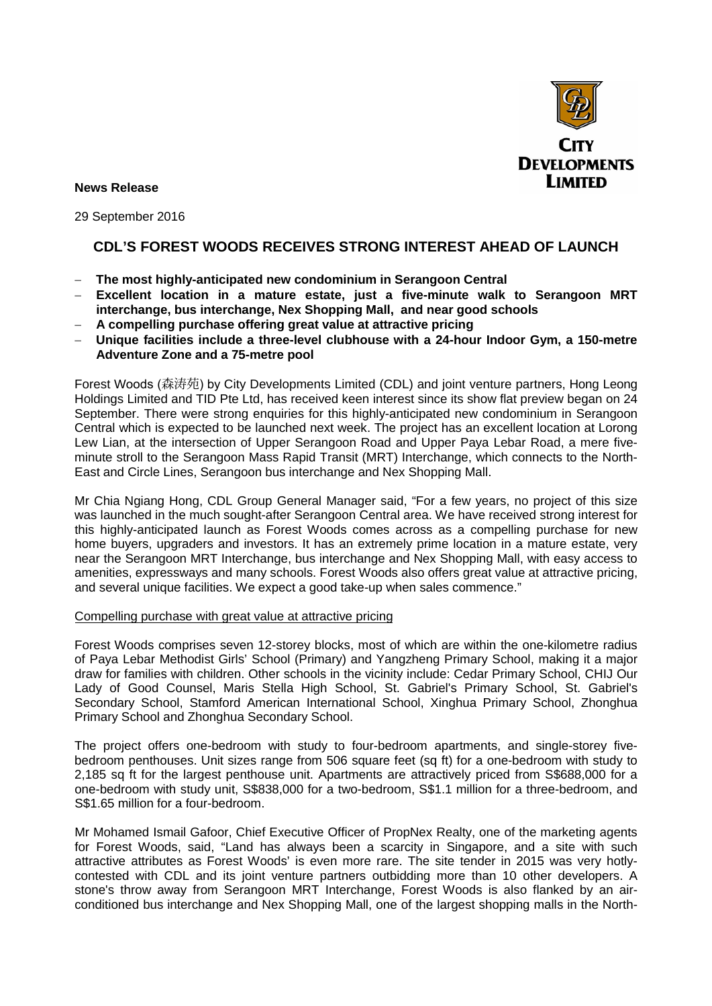

**News Release** 

29 September 2016

# **CDL'S FOREST WOODS RECEIVES STRONG INTEREST AHEAD OF LAUNCH**

- − **The most highly-anticipated new condominium in Serangoon Central**
- − **Excellent location in a mature estate, just a five-minute walk to Serangoon MRT interchange, bus interchange, Nex Shopping Mall, and near good schools**
- − **A compelling purchase offering great value at attractive pricing**
- − **Unique facilities include a three-level clubhouse with a 24-hour Indoor Gym, a 150-metre Adventure Zone and a 75-metre pool**

Forest Woods (森涛苑) by City Developments Limited (CDL) and joint venture partners, Hong Leong Holdings Limited and TID Pte Ltd, has received keen interest since its show flat preview began on 24 September. There were strong enquiries for this highly-anticipated new condominium in Serangoon Central which is expected to be launched next week. The project has an excellent location at Lorong Lew Lian, at the intersection of Upper Serangoon Road and Upper Paya Lebar Road, a mere fiveminute stroll to the Serangoon Mass Rapid Transit (MRT) Interchange, which connects to the North-East and Circle Lines, Serangoon bus interchange and Nex Shopping Mall.

Mr Chia Ngiang Hong, CDL Group General Manager said, "For a few years, no project of this size was launched in the much sought-after Serangoon Central area. We have received strong interest for this highly-anticipated launch as Forest Woods comes across as a compelling purchase for new home buyers, upgraders and investors. It has an extremely prime location in a mature estate, very near the Serangoon MRT Interchange, bus interchange and Nex Shopping Mall, with easy access to amenities, expressways and many schools. Forest Woods also offers great value at attractive pricing, and several unique facilities. We expect a good take-up when sales commence."

## Compelling purchase with great value at attractive pricing

Forest Woods comprises seven 12-storey blocks, most of which are within the one-kilometre radius of Paya Lebar Methodist Girls' School (Primary) and Yangzheng Primary School, making it a major draw for families with children. Other schools in the vicinity include: Cedar Primary School, CHIJ Our Lady of Good Counsel, Maris Stella High School, St. Gabriel's Primary School, St. Gabriel's Secondary School, Stamford American International School, Xinghua Primary School, Zhonghua Primary School and Zhonghua Secondary School.

The project offers one-bedroom with study to four-bedroom apartments, and single-storey fivebedroom penthouses. Unit sizes range from 506 square feet (sq ft) for a one-bedroom with study to 2,185 sq ft for the largest penthouse unit. Apartments are attractively priced from S\$688,000 for a one-bedroom with study unit, S\$838,000 for a two-bedroom, S\$1.1 million for a three-bedroom, and S\$1.65 million for a four-bedroom.

Mr Mohamed Ismail Gafoor, Chief Executive Officer of PropNex Realty, one of the marketing agents for Forest Woods, said, "Land has always been a scarcity in Singapore, and a site with such attractive attributes as Forest Woods' is even more rare. The site tender in 2015 was very hotlycontested with CDL and its joint venture partners outbidding more than 10 other developers. A stone's throw away from Serangoon MRT Interchange, Forest Woods is also flanked by an airconditioned bus interchange and Nex Shopping Mall, one of the largest shopping malls in the North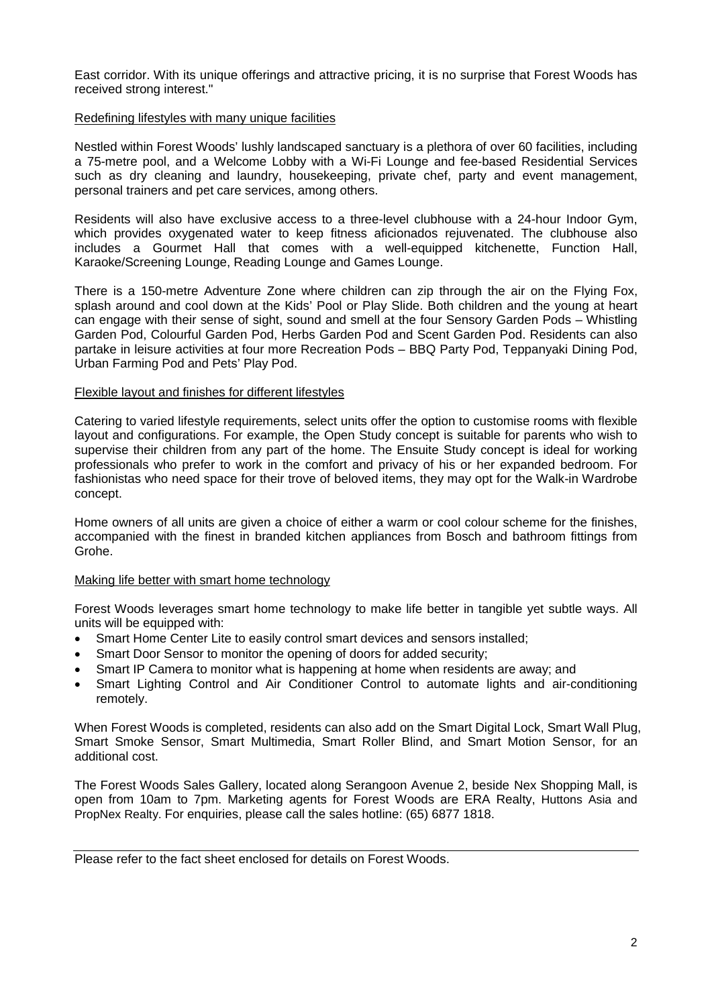East corridor. With its unique offerings and attractive pricing, it is no surprise that Forest Woods has received strong interest."

#### Redefining lifestyles with many unique facilities

Nestled within Forest Woods' lushly landscaped sanctuary is a plethora of over 60 facilities, including a 75-metre pool, and a Welcome Lobby with a Wi-Fi Lounge and fee-based Residential Services such as dry cleaning and laundry, housekeeping, private chef, party and event management, personal trainers and pet care services, among others.

Residents will also have exclusive access to a three-level clubhouse with a 24-hour Indoor Gym, which provides oxygenated water to keep fitness aficionados rejuvenated. The clubhouse also includes a Gourmet Hall that comes with a well-equipped kitchenette, Function Hall, Karaoke/Screening Lounge, Reading Lounge and Games Lounge.

There is a 150-metre Adventure Zone where children can zip through the air on the Flying Fox, splash around and cool down at the Kids' Pool or Play Slide. Both children and the young at heart can engage with their sense of sight, sound and smell at the four Sensory Garden Pods – Whistling Garden Pod, Colourful Garden Pod, Herbs Garden Pod and Scent Garden Pod. Residents can also partake in leisure activities at four more Recreation Pods – BBQ Party Pod, Teppanyaki Dining Pod, Urban Farming Pod and Pets' Play Pod.

#### Flexible layout and finishes for different lifestyles

Catering to varied lifestyle requirements, select units offer the option to customise rooms with flexible layout and configurations. For example, the Open Study concept is suitable for parents who wish to supervise their children from any part of the home. The Ensuite Study concept is ideal for working professionals who prefer to work in the comfort and privacy of his or her expanded bedroom. For fashionistas who need space for their trove of beloved items, they may opt for the Walk-in Wardrobe concept.

Home owners of all units are given a choice of either a warm or cool colour scheme for the finishes, accompanied with the finest in branded kitchen appliances from Bosch and bathroom fittings from Grohe.

## Making life better with smart home technology

Forest Woods leverages smart home technology to make life better in tangible yet subtle ways. All units will be equipped with:

- Smart Home Center Lite to easily control smart devices and sensors installed;
- Smart Door Sensor to monitor the opening of doors for added security;
- Smart IP Camera to monitor what is happening at home when residents are away; and
- Smart Lighting Control and Air Conditioner Control to automate lights and air-conditioning remotely.

When Forest Woods is completed, residents can also add on the Smart Digital Lock, Smart Wall Plug, Smart Smoke Sensor, Smart Multimedia, Smart Roller Blind, and Smart Motion Sensor, for an additional cost.

The Forest Woods Sales Gallery, located along Serangoon Avenue 2, beside Nex Shopping Mall, is open from 10am to 7pm. Marketing agents for Forest Woods are ERA Realty, Huttons Asia and PropNex Realty. For enquiries, please call the sales hotline: (65) 6877 1818.

Please refer to the fact sheet enclosed for details on Forest Woods.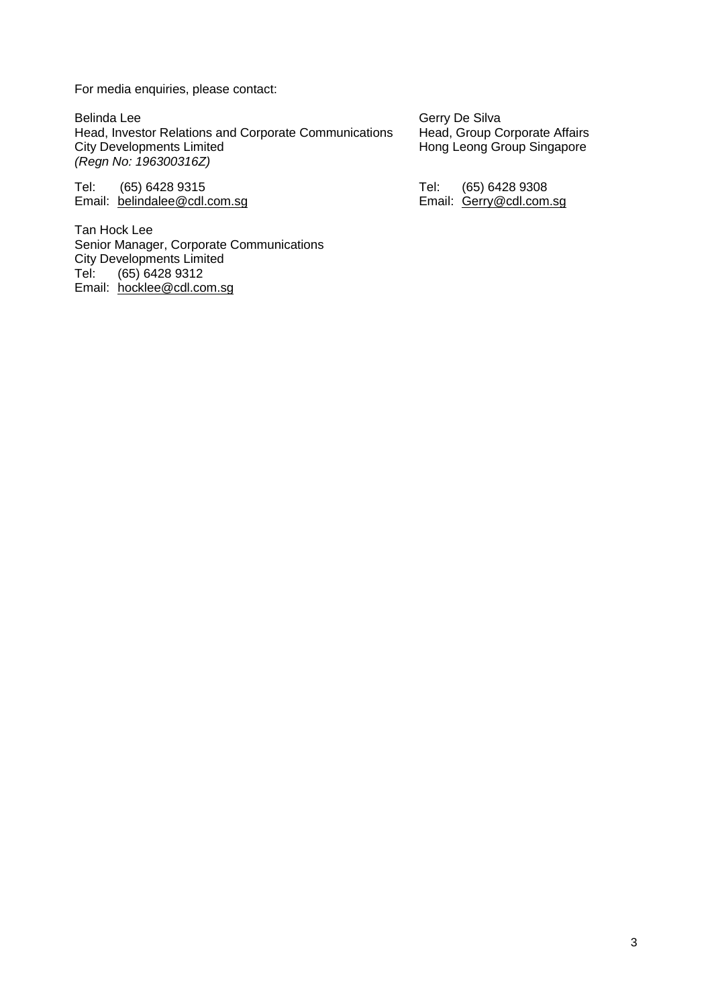For media enquiries, please contact:

Belinda Lee<br>Head, Investor Relations and Corporate Communications Head, Group Corporate Affairs Head, Investor Relations and Corporate Communications<br>City Developments Limited *(Regn No: 196300316Z)*

Tel: (65) 6428 9315<br>
Email: <u>belindalee@cdl.com.sg</u><br>
Email: <u>belindalee@cdl.com.sg</u> Email: belindalee@cdl.com.sg

Tan Hock Lee Senior Manager, Corporate Communications City Developments Limited<br>Tel: (65) 6428 9312 (65) 6428 9312 Email: hocklee@cdl.com.sg

Hong Leong Group Singapore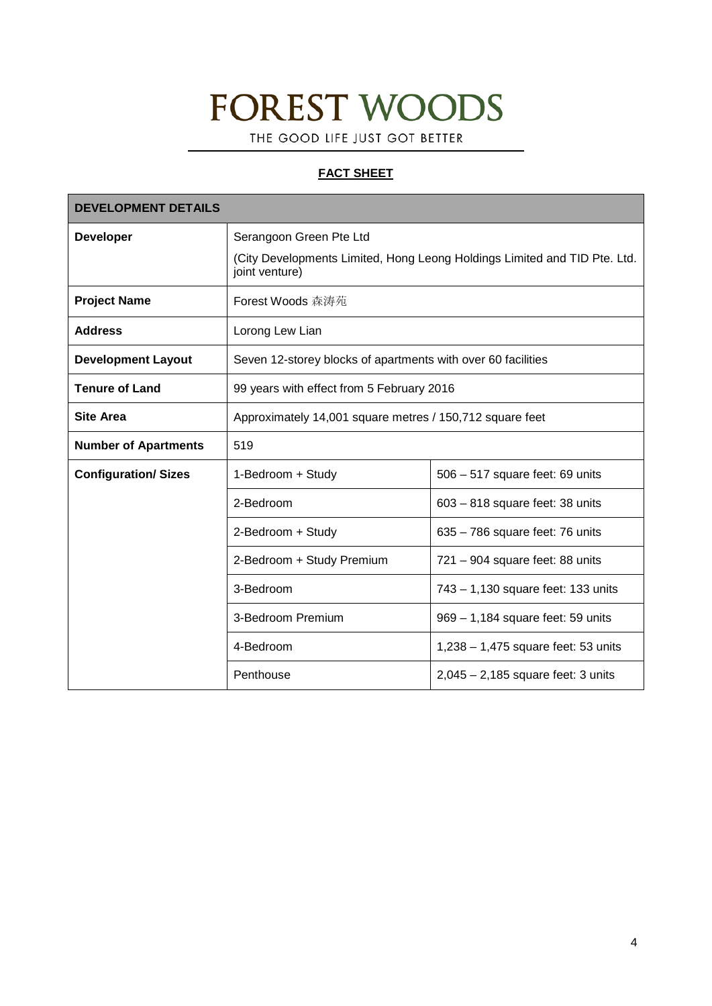# **FOREST WOODS**

THE GOOD LIFE JUST GOT BETTER

## **FACT SHEET**

| <b>DEVELOPMENT DETAILS</b>  |                                                              |                                                                           |
|-----------------------------|--------------------------------------------------------------|---------------------------------------------------------------------------|
| <b>Developer</b>            | Serangoon Green Pte Ltd                                      | (City Developments Limited, Hong Leong Holdings Limited and TID Pte. Ltd. |
|                             | joint venture)                                               |                                                                           |
| <b>Project Name</b>         | Forest Woods 森涛苑                                             |                                                                           |
| <b>Address</b>              | Lorong Lew Lian                                              |                                                                           |
| <b>Development Layout</b>   | Seven 12-storey blocks of apartments with over 60 facilities |                                                                           |
| <b>Tenure of Land</b>       | 99 years with effect from 5 February 2016                    |                                                                           |
| <b>Site Area</b>            | Approximately 14,001 square metres / 150,712 square feet     |                                                                           |
| <b>Number of Apartments</b> | 519                                                          |                                                                           |
| <b>Configuration/Sizes</b>  | 1-Bedroom + Study                                            | 506 - 517 square feet: 69 units                                           |
|                             | 2-Bedroom                                                    | $603 - 818$ square feet: 38 units                                         |
|                             | 2-Bedroom + Study                                            | 635 - 786 square feet: 76 units                                           |
|                             | 2-Bedroom + Study Premium                                    | $721 - 904$ square feet: 88 units                                         |
|                             | 3-Bedroom                                                    | 743 - 1,130 square feet: 133 units                                        |
|                             | 3-Bedroom Premium                                            | 969 - 1,184 square feet: 59 units                                         |
|                             | 4-Bedroom                                                    | $1,238 - 1,475$ square feet: 53 units                                     |
|                             | Penthouse                                                    | $2,045 - 2,185$ square feet: 3 units                                      |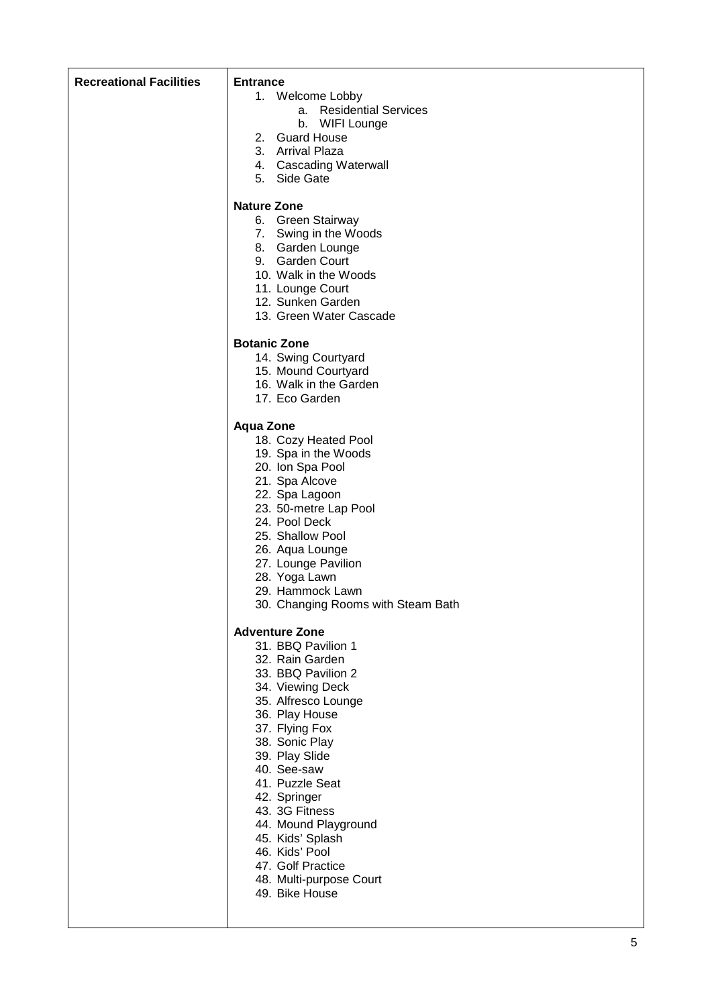| <b>Recreational Facilities</b> | <b>Entrance</b><br>1. Welcome Lobby<br>a. Residential Services<br>b. WIFI Lounge<br>2. Guard House<br>3. Arrival Plaza<br>4. Cascading Waterwall<br>5. Side Gate<br><b>Nature Zone</b>                                                                                                                                                                                                                      |
|--------------------------------|-------------------------------------------------------------------------------------------------------------------------------------------------------------------------------------------------------------------------------------------------------------------------------------------------------------------------------------------------------------------------------------------------------------|
|                                | 6. Green Stairway<br>7. Swing in the Woods<br>8. Garden Lounge<br>9. Garden Court<br>10. Walk in the Woods<br>11. Lounge Court<br>12. Sunken Garden<br>13. Green Water Cascade                                                                                                                                                                                                                              |
|                                | <b>Botanic Zone</b><br>14. Swing Courtyard<br>15. Mound Courtyard<br>16. Walk in the Garden<br>17. Eco Garden                                                                                                                                                                                                                                                                                               |
|                                | <b>Aqua Zone</b><br>18. Cozy Heated Pool<br>19. Spa in the Woods<br>20. Ion Spa Pool<br>21. Spa Alcove<br>22. Spa Lagoon<br>23. 50-metre Lap Pool<br>24. Pool Deck<br>25. Shallow Pool<br>26. Aqua Lounge<br>27. Lounge Pavilion<br>28. Yoga Lawn<br>29. Hammock Lawn<br>30. Changing Rooms with Steam Bath                                                                                                 |
|                                | <b>Adventure Zone</b><br>31. BBQ Pavilion 1<br>32. Rain Garden<br>33. BBQ Pavilion 2<br>34. Viewing Deck<br>35. Alfresco Lounge<br>36. Play House<br>37. Flying Fox<br>38. Sonic Play<br>39. Play Slide<br>40. See-saw<br>41. Puzzle Seat<br>42. Springer<br>43. 3G Fitness<br>44. Mound Playground<br>45. Kids' Splash<br>46. Kids' Pool<br>47. Golf Practice<br>48. Multi-purpose Court<br>49. Bike House |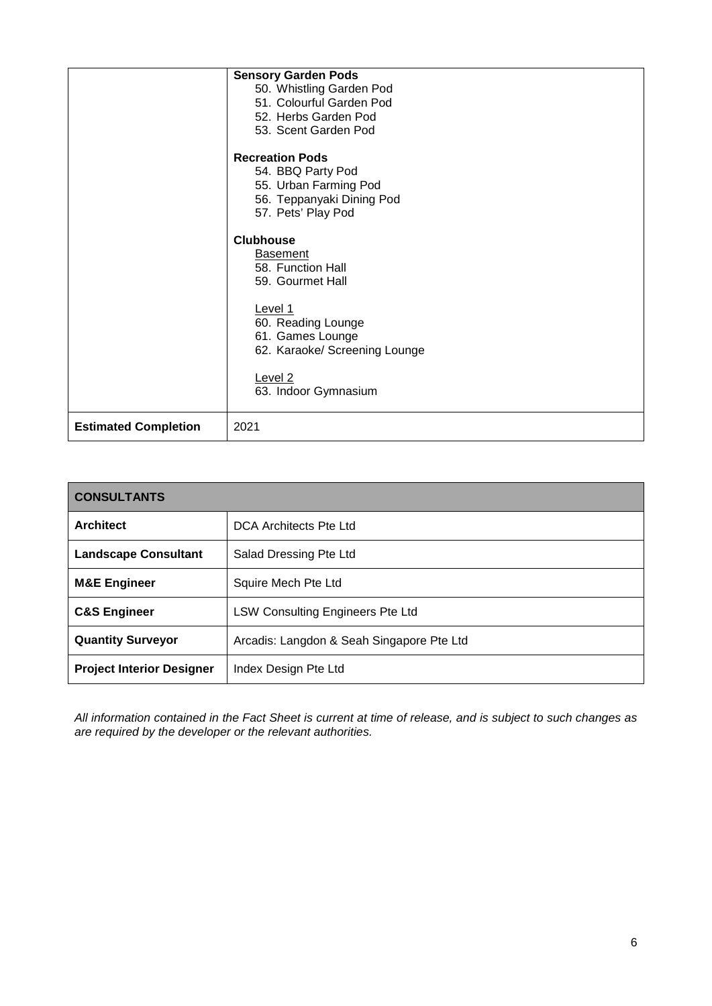|                             | <b>Sensory Garden Pods</b><br>50. Whistling Garden Pod<br>51. Colourful Garden Pod<br>52. Herbs Garden Pod<br>53. Scent Garden Pod<br><b>Recreation Pods</b><br>54. BBQ Party Pod |
|-----------------------------|-----------------------------------------------------------------------------------------------------------------------------------------------------------------------------------|
|                             | 55. Urban Farming Pod<br>56. Teppanyaki Dining Pod<br>57. Pets' Play Pod                                                                                                          |
|                             | <b>Clubhouse</b><br><b>Basement</b><br>58. Function Hall<br>59. Gourmet Hall                                                                                                      |
|                             | Level 1<br>60. Reading Lounge<br>61. Games Lounge<br>62. Karaoke/ Screening Lounge                                                                                                |
|                             | Level <sub>2</sub><br>63. Indoor Gymnasium                                                                                                                                        |
| <b>Estimated Completion</b> | 2021                                                                                                                                                                              |

| <b>CONSULTANTS</b>               |                                           |  |
|----------------------------------|-------------------------------------------|--|
| <b>Architect</b>                 | DCA Architects Pte Ltd                    |  |
| <b>Landscape Consultant</b>      | Salad Dressing Pte Ltd                    |  |
| <b>M&amp;E Engineer</b>          | Squire Mech Pte Ltd                       |  |
| <b>C&amp;S Engineer</b>          | <b>LSW Consulting Engineers Pte Ltd</b>   |  |
| <b>Quantity Surveyor</b>         | Arcadis: Langdon & Seah Singapore Pte Ltd |  |
| <b>Project Interior Designer</b> | Index Design Pte Ltd                      |  |

*All information contained in the Fact Sheet is current at time of release, and is subject to such changes as are required by the developer or the relevant authorities.*